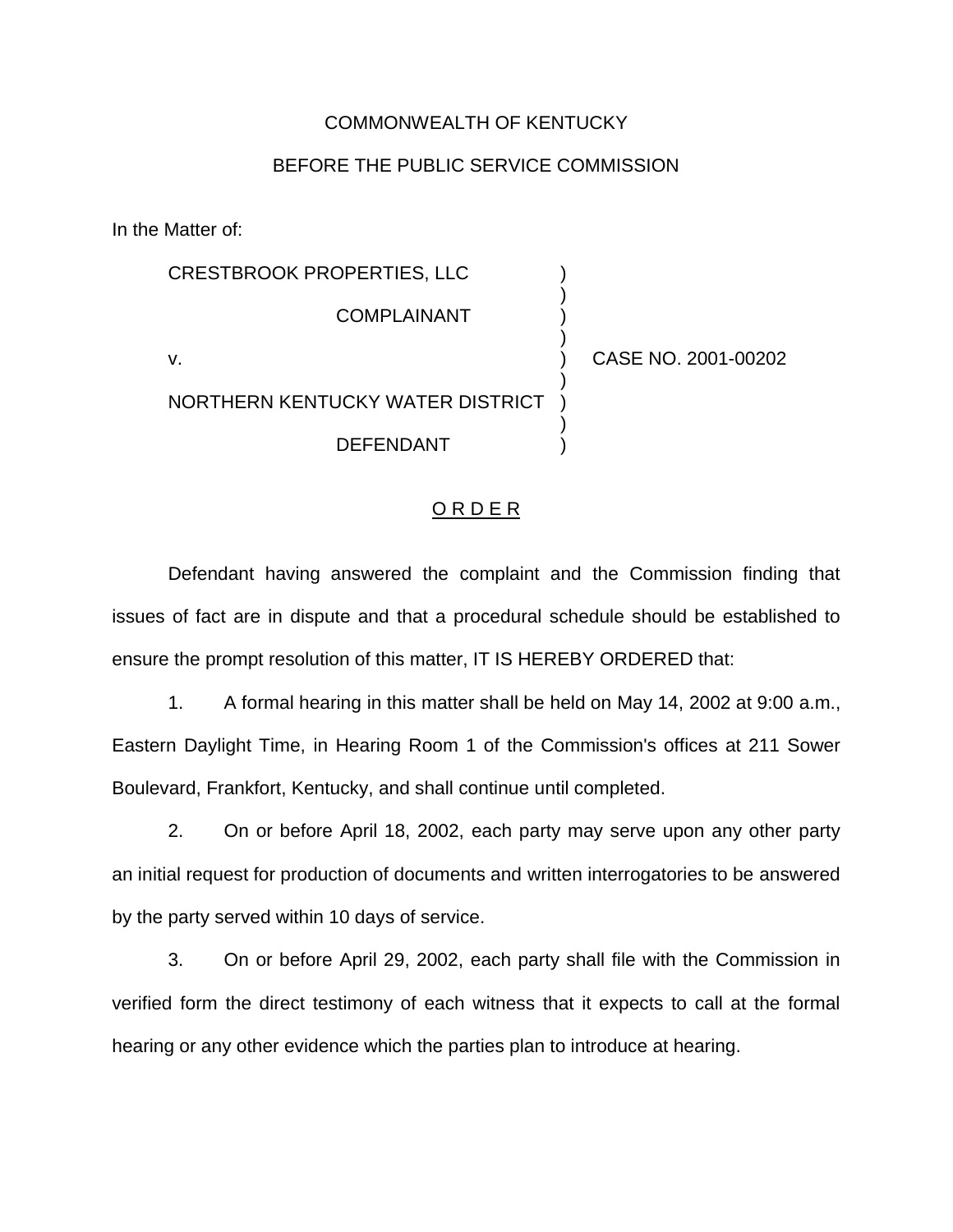## COMMONWEALTH OF KENTUCKY

## BEFORE THE PUBLIC SERVICE COMMISSION

In the Matter of:

| <b>CRESTBROOK PROPERTIES, LLC</b> |                     |
|-----------------------------------|---------------------|
| COMPLAINANT                       |                     |
| v.                                | CASE NO. 2001-00202 |
| NORTHERN KENTUCKY WATER DISTRICT  |                     |
| <b>DEFENDANT</b>                  |                     |
|                                   |                     |

## ORDER

Defendant having answered the complaint and the Commission finding that issues of fact are in dispute and that a procedural schedule should be established to ensure the prompt resolution of this matter, IT IS HEREBY ORDERED that:

1. A formal hearing in this matter shall be held on May 14, 2002 at 9:00 a.m., Eastern Daylight Time, in Hearing Room 1 of the Commission's offices at 211 Sower Boulevard, Frankfort, Kentucky, and shall continue until completed.

2. On or before April 18, 2002, each party may serve upon any other party an initial request for production of documents and written interrogatories to be answered by the party served within 10 days of service.

3. On or before April 29, 2002, each party shall file with the Commission in verified form the direct testimony of each witness that it expects to call at the formal hearing or any other evidence which the parties plan to introduce at hearing.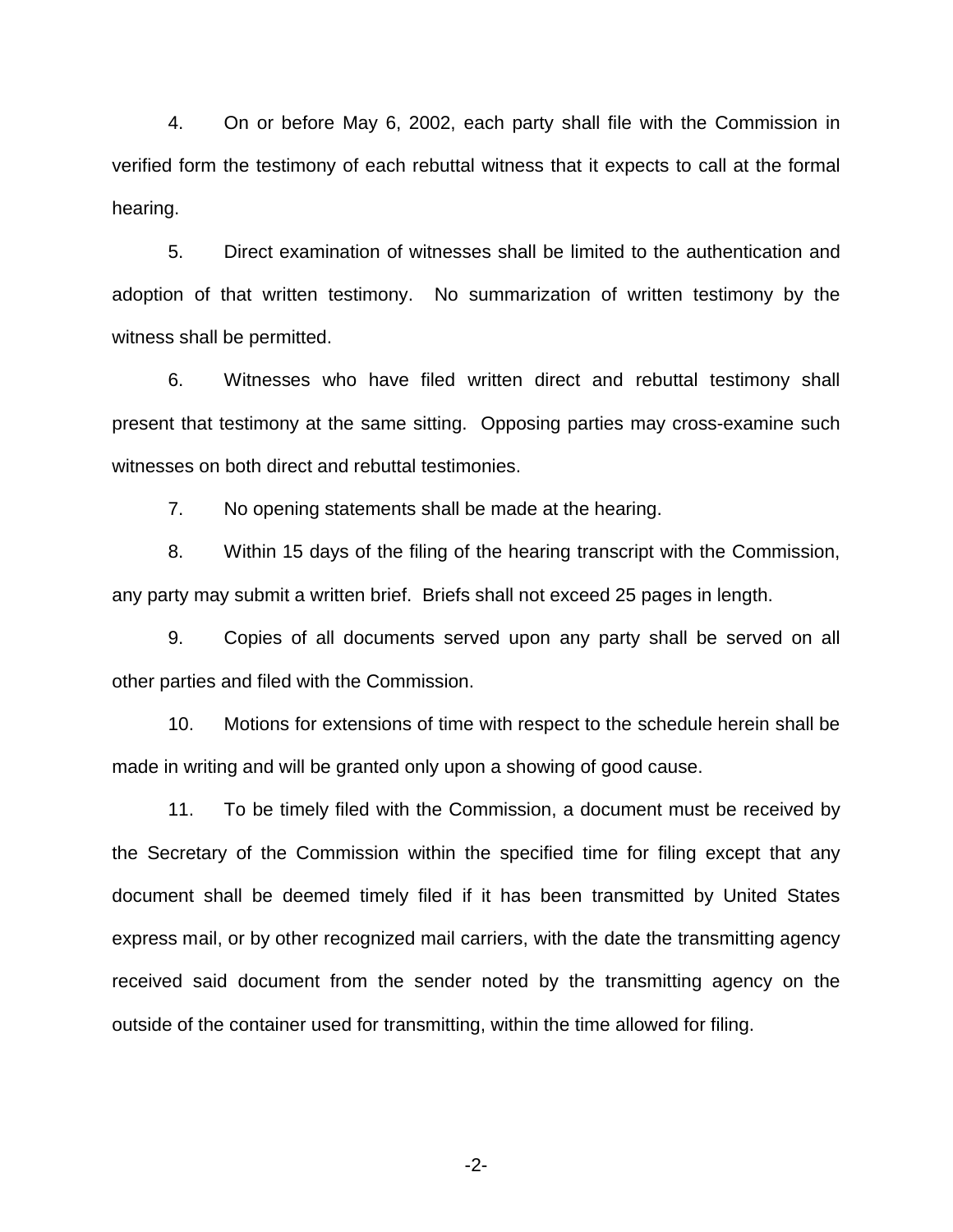4. On or before May 6, 2002, each party shall file with the Commission in verified form the testimony of each rebuttal witness that it expects to call at the formal hearing.

5. Direct examination of witnesses shall be limited to the authentication and adoption of that written testimony. No summarization of written testimony by the witness shall be permitted.

6. Witnesses who have filed written direct and rebuttal testimony shall present that testimony at the same sitting. Opposing parties may cross-examine such witnesses on both direct and rebuttal testimonies.

7. No opening statements shall be made at the hearing.

8. Within 15 days of the filing of the hearing transcript with the Commission, any party may submit a written brief. Briefs shall not exceed 25 pages in length.

9. Copies of all documents served upon any party shall be served on all other parties and filed with the Commission.

10. Motions for extensions of time with respect to the schedule herein shall be made in writing and will be granted only upon a showing of good cause.

11. To be timely filed with the Commission, a document must be received by the Secretary of the Commission within the specified time for filing except that any document shall be deemed timely filed if it has been transmitted by United States express mail, or by other recognized mail carriers, with the date the transmitting agency received said document from the sender noted by the transmitting agency on the outside of the container used for transmitting, within the time allowed for filing.

-2-